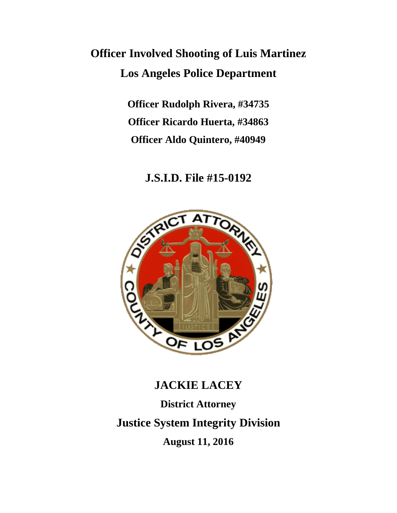# **Officer Involved Shooting of Luis Martinez Los Angeles Police Department**

**Officer Rudolph Rivera, #34735 Officer Ricardo Huerta, #34863 Officer Aldo Quintero, #40949**

### **J.S.I.D. File #15-0192**



## **JACKIE LACEY**

**District Attorney Justice System Integrity Division August 11, 2016**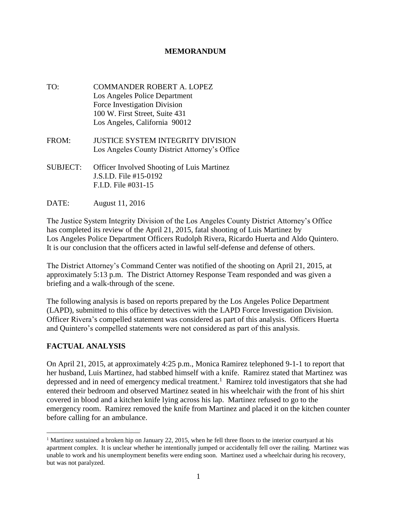#### **MEMORANDUM**

- TO: COMMANDER ROBERT A. LOPEZ Los Angeles Police Department Force Investigation Division 100 W. First Street, Suite 431 Los Angeles, California 90012
- FROM: JUSTICE SYSTEM INTEGRITY DIVISION Los Angeles County District Attorney's Office
- SUBJECT: Officer Involved Shooting of Luis Martinez J.S.I.D. File #15-0192 F.I.D. File #031-15
- DATE: August 11, 2016

The Justice System Integrity Division of the Los Angeles County District Attorney's Office has completed its review of the April 21, 2015, fatal shooting of Luis Martinez by Los Angeles Police Department Officers Rudolph Rivera, Ricardo Huerta and Aldo Quintero. It is our conclusion that the officers acted in lawful self-defense and defense of others.

The District Attorney's Command Center was notified of the shooting on April 21, 2015, at approximately 5:13 p.m. The District Attorney Response Team responded and was given a briefing and a walk-through of the scene.

The following analysis is based on reports prepared by the Los Angeles Police Department (LAPD), submitted to this office by detectives with the LAPD Force Investigation Division. Officer Rivera's compelled statement was considered as part of this analysis. Officers Huerta and Quintero's compelled statements were not considered as part of this analysis.

#### **FACTUAL ANALYSIS**

 $\overline{a}$ 

On April 21, 2015, at approximately 4:25 p.m., Monica Ramirez telephoned 9-1-1 to report that her husband, Luis Martinez, had stabbed himself with a knife. Ramirez stated that Martinez was depressed and in need of emergency medical treatment.<sup>1</sup> Ramirez told investigators that she had entered their bedroom and observed Martinez seated in his wheelchair with the front of his shirt covered in blood and a kitchen knife lying across his lap. Martinez refused to go to the emergency room. Ramirez removed the knife from Martinez and placed it on the kitchen counter before calling for an ambulance.

<sup>&</sup>lt;sup>1</sup> Martinez sustained a broken hip on January 22, 2015, when he fell three floors to the interior courtyard at his apartment complex. It is unclear whether he intentionally jumped or accidentally fell over the railing. Martinez was unable to work and his unemployment benefits were ending soon. Martinez used a wheelchair during his recovery, but was not paralyzed.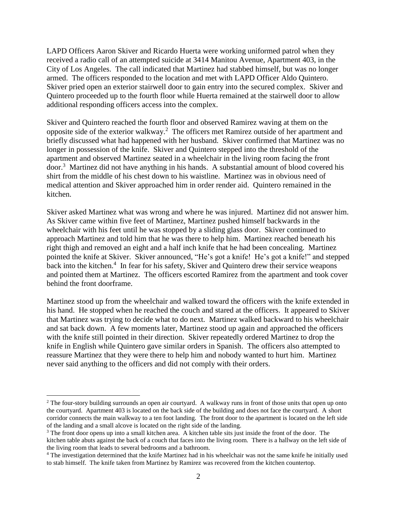LAPD Officers Aaron Skiver and Ricardo Huerta were working uniformed patrol when they received a radio call of an attempted suicide at 3414 Manitou Avenue, Apartment 403, in the City of Los Angeles. The call indicated that Martinez had stabbed himself, but was no longer armed. The officers responded to the location and met with LAPD Officer Aldo Quintero. Skiver pried open an exterior stairwell door to gain entry into the secured complex. Skiver and Quintero proceeded up to the fourth floor while Huerta remained at the stairwell door to allow additional responding officers access into the complex.

Skiver and Quintero reached the fourth floor and observed Ramirez waving at them on the opposite side of the exterior walkway. 2 The officers met Ramirez outside of her apartment and briefly discussed what had happened with her husband. Skiver confirmed that Martinez was no longer in possession of the knife. Skiver and Quintero stepped into the threshold of the apartment and observed Martinez seated in a wheelchair in the living room facing the front door. 3 Martinez did not have anything in his hands. A substantial amount of blood covered his shirt from the middle of his chest down to his waistline. Martinez was in obvious need of medical attention and Skiver approached him in order render aid. Quintero remained in the kitchen.

Skiver asked Martinez what was wrong and where he was injured. Martinez did not answer him. As Skiver came within five feet of Martinez, Martinez pushed himself backwards in the wheelchair with his feet until he was stopped by a sliding glass door. Skiver continued to approach Martinez and told him that he was there to help him. Martinez reached beneath his right thigh and removed an eight and a half inch knife that he had been concealing. Martinez pointed the knife at Skiver. Skiver announced, "He's got a knife! He's got a knife!" and stepped back into the kitchen. 4 In fear for his safety, Skiver and Quintero drew their service weapons and pointed them at Martinez. The officers escorted Ramirez from the apartment and took cover behind the front doorframe.

Martinez stood up from the wheelchair and walked toward the officers with the knife extended in his hand. He stopped when he reached the couch and stared at the officers. It appeared to Skiver that Martinez was trying to decide what to do next. Martinez walked backward to his wheelchair and sat back down. A few moments later, Martinez stood up again and approached the officers with the knife still pointed in their direction. Skiver repeatedly ordered Martinez to drop the knife in English while Quintero gave similar orders in Spanish. The officers also attempted to reassure Martinez that they were there to help him and nobody wanted to hurt him. Martinez never said anything to the officers and did not comply with their orders.

 $\overline{a}$ 

<sup>&</sup>lt;sup>2</sup> The four-story building surrounds an open air courtyard. A walkway runs in front of those units that open up onto the courtyard. Apartment 403 is located on the back side of the building and does not face the courtyard. A short corridor connects the main walkway to a ten foot landing. The front door to the apartment is located on the left side of the landing and a small alcove is located on the right side of the landing.

<sup>&</sup>lt;sup>3</sup> The front door opens up into a small kitchen area. A kitchen table sits just inside the front of the door. The kitchen table abuts against the back of a couch that faces into the living room. There is a hallway on the left side of the living room that leads to several bedrooms and a bathroom.

<sup>4</sup> The investigation determined that the knife Martinez had in his wheelchair was not the same knife he initially used to stab himself. The knife taken from Martinez by Ramirez was recovered from the kitchen countertop.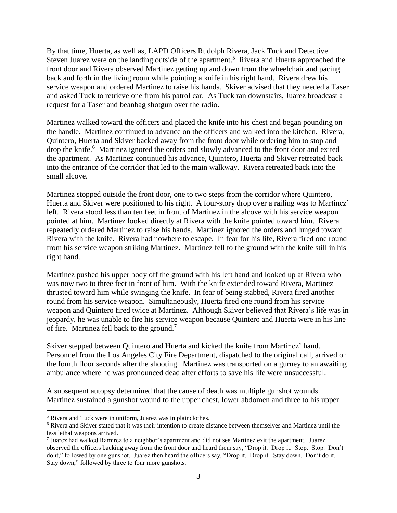By that time, Huerta, as well as, LAPD Officers Rudolph Rivera, Jack Tuck and Detective Steven Juarez were on the landing outside of the apartment.<sup>5</sup> Rivera and Huerta approached the front door and Rivera observed Martinez getting up and down from the wheelchair and pacing back and forth in the living room while pointing a knife in his right hand. Rivera drew his service weapon and ordered Martinez to raise his hands. Skiver advised that they needed a Taser and asked Tuck to retrieve one from his patrol car. As Tuck ran downstairs, Juarez broadcast a request for a Taser and beanbag shotgun over the radio.

Martinez walked toward the officers and placed the knife into his chest and began pounding on the handle. Martinez continued to advance on the officers and walked into the kitchen. Rivera, Quintero, Huerta and Skiver backed away from the front door while ordering him to stop and drop the knife.<sup>6</sup> Martinez ignored the orders and slowly advanced to the front door and exited the apartment. As Martinez continued his advance, Quintero, Huerta and Skiver retreated back into the entrance of the corridor that led to the main walkway. Rivera retreated back into the small alcove.

Martinez stopped outside the front door, one to two steps from the corridor where Quintero, Huerta and Skiver were positioned to his right. A four-story drop over a railing was to Martinez' left. Rivera stood less than ten feet in front of Martinez in the alcove with his service weapon pointed at him. Martinez looked directly at Rivera with the knife pointed toward him. Rivera repeatedly ordered Martinez to raise his hands. Martinez ignored the orders and lunged toward Rivera with the knife. Rivera had nowhere to escape. In fear for his life, Rivera fired one round from his service weapon striking Martinez. Martinez fell to the ground with the knife still in his right hand.

Martinez pushed his upper body off the ground with his left hand and looked up at Rivera who was now two to three feet in front of him. With the knife extended toward Rivera, Martinez thrusted toward him while swinging the knife. In fear of being stabbed, Rivera fired another round from his service weapon. Simultaneously, Huerta fired one round from his service weapon and Quintero fired twice at Martinez. Although Skiver believed that Rivera's life was in jeopardy, he was unable to fire his service weapon because Quintero and Huerta were in his line of fire. Martinez fell back to the ground.<sup>7</sup>

Skiver stepped between Quintero and Huerta and kicked the knife from Martinez' hand. Personnel from the Los Angeles City Fire Department, dispatched to the original call, arrived on the fourth floor seconds after the shooting. Martinez was transported on a gurney to an awaiting ambulance where he was pronounced dead after efforts to save his life were unsuccessful.

A subsequent autopsy determined that the cause of death was multiple gunshot wounds. Martinez sustained a gunshot wound to the upper chest, lower abdomen and three to his upper

 $\overline{a}$ 

<sup>5</sup> Rivera and Tuck were in uniform, Juarez was in plainclothes.

<sup>6</sup> Rivera and Skiver stated that it was their intention to create distance between themselves and Martinez until the less lethal weapons arrived.

<sup>7</sup> Juarez had walked Ramirez to a neighbor's apartment and did not see Martinez exit the apartment. Juarez observed the officers backing away from the front door and heard them say, "Drop it. Drop it. Stop. Stop. Don't do it," followed by one gunshot. Juarez then heard the officers say, "Drop it. Drop it. Stay down. Don't do it. Stay down," followed by three to four more gunshots.